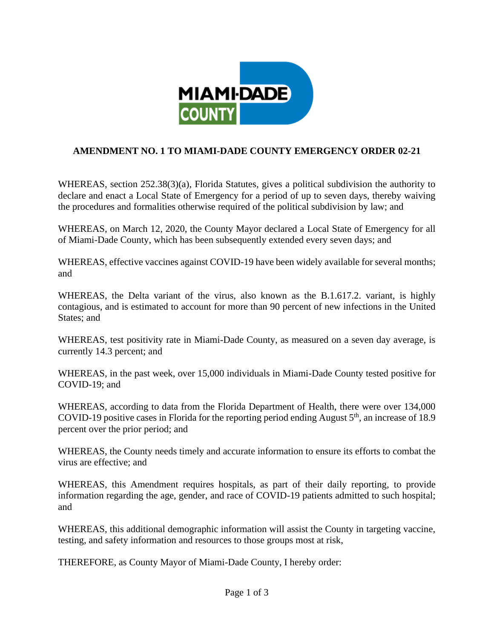

## **AMENDMENT NO. 1 TO MIAMI-DADE COUNTY EMERGENCY ORDER 02-21**

WHEREAS, section 252.38(3)(a), Florida Statutes, gives a political subdivision the authority to declare and enact a Local State of Emergency for a period of up to seven days, thereby waiving the procedures and formalities otherwise required of the political subdivision by law; and

WHEREAS, on March 12, 2020, the County Mayor declared a Local State of Emergency for all of Miami-Dade County, which has been subsequently extended every seven days; and

WHEREAS, effective vaccines against COVID-19 have been widely available for several months; and

WHEREAS, the Delta variant of the virus, also known as the B.1.617.2. variant, is highly contagious, and is estimated to account for more than 90 percent of new infections in the United States; and

WHEREAS, test positivity rate in Miami-Dade County, as measured on a seven day average, is currently 14.3 percent; and

WHEREAS, in the past week, over 15,000 individuals in Miami-Dade County tested positive for COVID-19; and

WHEREAS, according to data from the Florida Department of Health, there were over 134,000 COVID-19 positive cases in Florida for the reporting period ending August  $5<sup>th</sup>$ , an increase of 18.9 percent over the prior period; and

WHEREAS, the County needs timely and accurate information to ensure its efforts to combat the virus are effective; and

WHEREAS, this Amendment requires hospitals, as part of their daily reporting, to provide information regarding the age, gender, and race of COVID-19 patients admitted to such hospital; and

WHEREAS, this additional demographic information will assist the County in targeting vaccine, testing, and safety information and resources to those groups most at risk,

THEREFORE, as County Mayor of Miami-Dade County, I hereby order: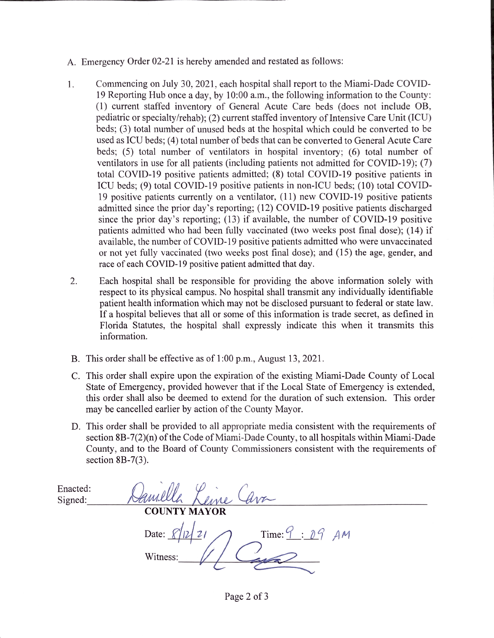- A. Emergency Order 02-21 is hereby amended and restated as follows:
- 1. Commencing on July 30, 2021, each hospital shall report to the Miami-Dade COVID-19 Reporting Hub once a day, by 10:00 a.m., the following information to the County: (1) current staffed inventory of General Acute Care beds (does not include OB, pediatric or specialty/rehab); (2) current staffed inventory of Intensive Care Unit (ICU) beds; (3) total number of unused beds at the hospital which could be converted to be used as ICU beds; (4) total number of beds that can be converted to General Acute Care beds; (5) total number of ventilators in hospital inventory; (6) total number of ventilators in use for all patients (including patients not admitted for COVID-19); (7) total COVID-19 positive patients admitted; (8) total COVID-19 positive patients in ICU beds; (9) total COVID-19 positive patients in non-ICU beds; (10) total COVID-19 positive patients currently on a ventilator, (11) new COVID-19 positive patients admitted since the prior day's reporting; (12) COVID-19 positive patients discharged since the prior day's reporting; (13) if available, the number of COVID-19 positive patients admitted who had been fully vaccinated (two weeks post final dose); (14) if available, the number of COVID-19 positive patients admitted who were unvaccinated or not yet fully vaccinated (two weeks post final dose); and (15) the age, gender, and race of each COVID-19 positive patient admitted that day.
- $2.$ Each hospital shall be responsible for providing the above information solely with respect to its physical campus. No hospital shall transmit any individually identifiable patient health information which may not be disclosed pursuant to federal or state law. If a hospital believes that all or some of this information is trade secret, as defined in Florida Statutes, the hospital shall expressly indicate this when it transmits this information.
- B. This order shall be effective as of 1:00 p.m., August 13, 2021.
- C. This order shall expire upon the expiration of the existing Miami-Dade County of Local State of Emergency, provided however that if the Local State of Emergency is extended. this order shall also be deemed to extend for the duration of such extension. This order may be cancelled earlier by action of the County Mayor.
- D. This order shall be provided to all appropriate media consistent with the requirements of section 8B-7(2)(n) of the Code of Miami-Dade County, to all hospitals within Miami-Dade County, and to the Board of County Commissioners consistent with the requirements of section  $8B-7(3)$ .

Enacted: Signed: **COUNTY MAYOR** Time:  $9 : 09$  AM Date:  $\chi$ / Witness:

Page 2 of 3